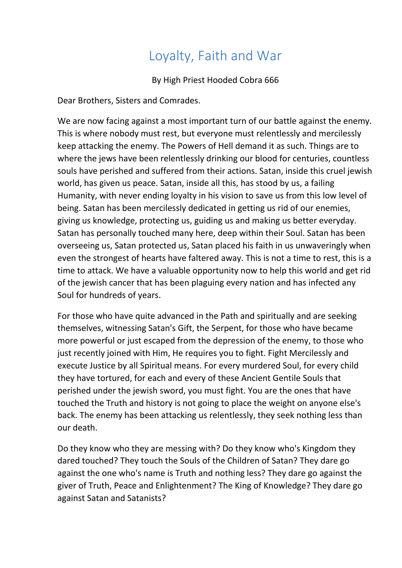## Loyalty, Faith and War

By High Priest Hooded Cobra 666

Dear Brothers, Sisters and Comrades.

We are now facing against a most important turn of our battle against the enemy. This is where nobody must rest, but everyone must relentlessly and mercilessly keep attacking the enemy. The Powers of Hell demand it as such. Things are to where the jews have been relentlessly drinking our blood for centuries, countless souls have perished and suffered from their actions. Satan, inside this cruel jewish world, has given us peace. Satan, inside all this, has stood by us, a failing Humanity, with never ending loyalty in his vision to save us from this low level of being. Satan has been mercilessly dedicated in getting us rid of our enemies, giving us knowledge, protecting us, guiding us and making us better everyday. Satan has personally touched many here, deep within their Soul. Satan has been overseeing us, Satan protected us, Satan placed his faith in us unwaveringly when even the strongest of hearts have faltered away. This is not a time to rest, this is a time to attack. We have a valuable opportunity now to help this world and get rid of the jewish cancer that has been plaguing every nation and has infected any Soul for hundreds of years.

For those who have quite advanced in the Path and spiritually and are seeking themselves, witnessing Satan's Gift, the Serpent, for those who have became more powerful or just escaped from the depression of the enemy, to those who just recently joined with Him, He requires you to fight. Fight Mercilessly and execute Justice by all Spiritual means. For every murdered Soul, for every child they have tortured, for each and every of these Ancient Gentile Souls that perished under the jewish sword, you must fight. You are the ones that have touched the Truth and history is not going to place the weight on anyone else's back. The enemy has been attacking us relentlessly, they seek nothing less than our death.

Do they know who they are messing with? Do they know who's Kingdom they dared touched? They touch the Souls of the Children of Satan? They dare go against the one who's name is Truth and nothing less? They dare go against the giver of Truth, Peace and Enlightenment? The King of Knowledge? They dare go against Satan and Satanists?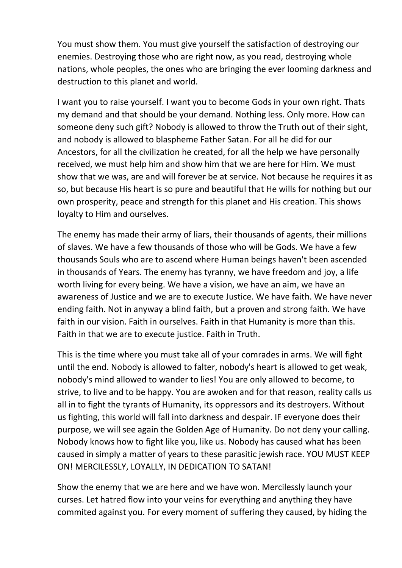You must show them. You must give yourself the satisfaction of destroying our enemies. Destroying those who are right now, as you read, destroying whole nations, whole peoples, the ones who are bringing the ever looming darkness and destruction to this planet and world.

I want you to raise yourself. I want you to become Gods in your own right. Thats my demand and that should be your demand. Nothing less. Only more. How can someone deny such gift? Nobody is allowed to throw the Truth out of their sight, and nobody is allowed to blaspheme Father Satan. For all he did for our Ancestors, for all the civilization he created, for all the help we have personally received, we must help him and show him that we are here for Him. We must show that we was, are and will forever be at service. Not because he requires it as so, but because His heart is so pure and beautiful that He wills for nothing but our own prosperity, peace and strength for this planet and His creation. This shows loyalty to Him and ourselves.

The enemy has made their army of liars, their thousands of agents, their millions of slaves. We have a few thousands of those who will be Gods. We have a few thousands Souls who are to ascend where Human beings haven't been ascended in thousands of Years. The enemy has tyranny, we have freedom and joy, a life worth living for every being. We have a vision, we have an aim, we have an awareness of Justice and we are to execute Justice. We have faith. We have never ending faith. Not in anyway a blind faith, but a proven and strong faith. We have faith in our vision. Faith in ourselves. Faith in that Humanity is more than this. Faith in that we are to execute justice. Faith in Truth.

This is the time where you must take all of your comrades in arms. We will fight until the end. Nobody is allowed to falter, nobody's heart is allowed to get weak, nobody's mind allowed to wander to lies! You are only allowed to become, to strive, to live and to be happy. You are awoken and for that reason, reality calls us all in to fight the tyrants of Humanity, its oppressors and its destroyers. Without us fighting, this world will fall into darkness and despair. IF everyone does their purpose, we will see again the Golden Age of Humanity. Do not deny your calling. Nobody knows how to fight like you, like us. Nobody has caused what has been caused in simply a matter of years to these parasitic jewish race. YOU MUST KEEP ON! MERCILESSLY, LOYALLY, IN DEDICATION TO SATAN!

Show the enemy that we are here and we have won. Mercilessly launch your curses. Let hatred flow into your veins for everything and anything they have commited against you. For every moment of suffering they caused, by hiding the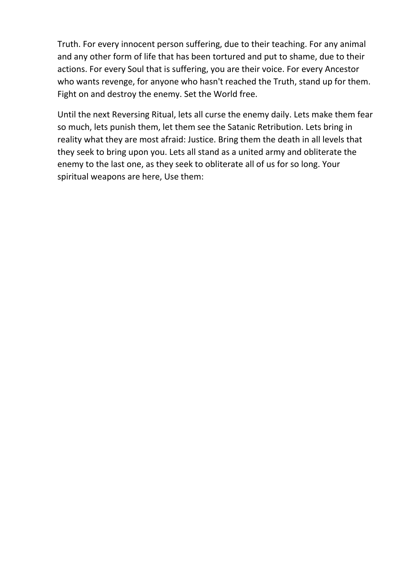Truth. For every innocent person suffering, due to their teaching. For any animal and any other form of life that has been tortured and put to shame, due to their actions. For every Soul that is suffering, you are their voice. For every Ancestor who wants revenge, for anyone who hasn't reached the Truth, stand up for them. Fight on and destroy the enemy. Set the World free.

Until the next Reversing Ritual, lets all curse the enemy daily. Lets make them fear so much, lets punish them, let them see the Satanic Retribution. Lets bring in reality what they are most afraid: Justice. Bring them the death in all levels that they seek to bring upon you. Lets all stand as a united army and obliterate the enemy to the last one, as they seek to obliterate all of us for so long. Your spiritual weapons are here, Use them: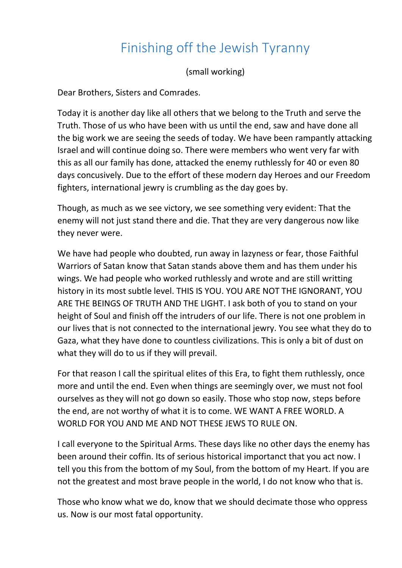## Finishing off the Jewish Tyranny

(small working)

Dear Brothers, Sisters and Comrades.

Today it is another day like all others that we belong to the Truth and serve the Truth. Those of us who have been with us until the end, saw and have done all the big work we are seeing the seeds of today. We have been rampantly attacking Israel and will continue doing so. There were members who went very far with this as all our family has done, attacked the enemy ruthlessly for 40 or even 80 days concusively. Due to the effort of these modern day Heroes and our Freedom fighters, international jewry is crumbling as the day goes by.

Though, as much as we see victory, we see something very evident: That the enemy will not just stand there and die. That they are very dangerous now like they never were.

We have had people who doubted, run away in lazyness or fear, those Faithful Warriors of Satan know that Satan stands above them and has them under his wings. We had people who worked ruthlessly and wrote and are still writting history in its most subtle level. THIS IS YOU. YOU ARE NOT THE IGNORANT, YOU ARE THE BEINGS OF TRUTH AND THE LIGHT. I ask both of you to stand on your height of Soul and finish off the intruders of our life. There is not one problem in our lives that is not connected to the international jewry. You see what they do to Gaza, what they have done to countless civilizations. This is only a bit of dust on what they will do to us if they will prevail.

For that reason I call the spiritual elites of this Era, to fight them ruthlessly, once more and until the end. Even when things are seemingly over, we must not fool ourselves as they will not go down so easily. Those who stop now, steps before the end, are not worthy of what it is to come. WE WANT A FREE WORLD. A WORLD FOR YOU AND ME AND NOT THESE JEWS TO RULE ON.

I call everyone to the Spiritual Arms. These days like no other days the enemy has been around their coffin. Its of serious historical importanct that you act now. I tell you this from the bottom of my Soul, from the bottom of my Heart. If you are not the greatest and most brave people in the world, I do not know who that is.

Those who know what we do, know that we should decimate those who oppress us. Now is our most fatal opportunity.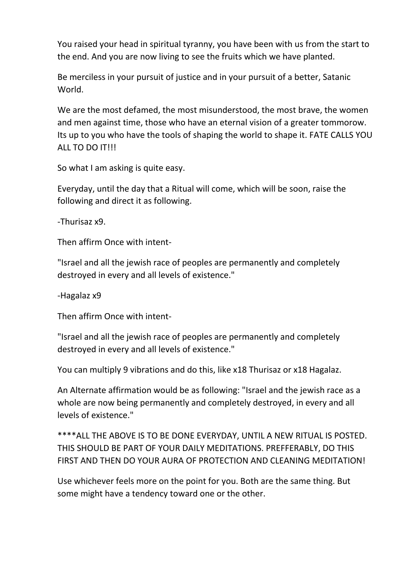You raised your head in spiritual tyranny, you have been with us from the start to the end. And you are now living to see the fruits which we have planted.

Be merciless in your pursuit of justice and in your pursuit of a better, Satanic World.

We are the most defamed, the most misunderstood, the most brave, the women and men against time, those who have an eternal vision of a greater tommorow. Its up to you who have the tools of shaping the world to shape it. FATE CALLS YOU ALL TO DO IT!!!

So what I am asking is quite easy.

Everyday, until the day that a Ritual will come, which will be soon, raise the following and direct it as following.

-Thurisaz x9.

Then affirm Once with intent-

"Israel and all the jewish race of peoples are permanently and completely destroyed in every and all levels of existence."

-Hagalaz x9

Then affirm Once with intent-

"Israel and all the jewish race of peoples are permanently and completely destroyed in every and all levels of existence."

You can multiply 9 vibrations and do this, like x18 Thurisaz or x18 Hagalaz.

An Alternate affirmation would be as following: "Israel and the jewish race as a whole are now being permanently and completely destroyed, in every and all levels of existence."

\*\*\*\*ALL THE ABOVE IS TO BE DONE EVERYDAY, UNTIL A NEW RITUAL IS POSTED. THIS SHOULD BE PART OF YOUR DAILY MEDITATIONS. PREFFERABLY, DO THIS FIRST AND THEN DO YOUR AURA OF PROTECTION AND CLEANING MEDITATION!

Use whichever feels more on the point for you. Both are the same thing. But some might have a tendency toward one or the other.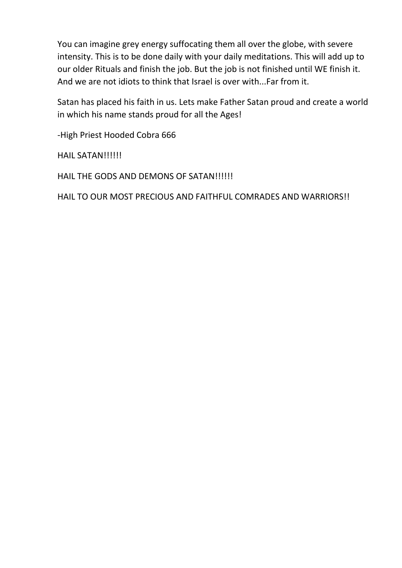You can imagine grey energy suffocating them all over the globe, with severe intensity. This is to be done daily with your daily meditations. This will add up to our older Rituals and finish the job. But the job is not finished until WE finish it. And we are not idiots to think that Israel is over with...Far from it.

Satan has placed his faith in us. Lets make Father Satan proud and create a world in which his name stands proud for all the Ages!

-High Priest Hooded Cobra 666

HAIL SATAN!!!!!!

HAIL THE GODS AND DEMONS OF SATAN!!!!!!

HAIL TO OUR MOST PRECIOUS AND FAITHFUL COMRADES AND WARRIORS!!